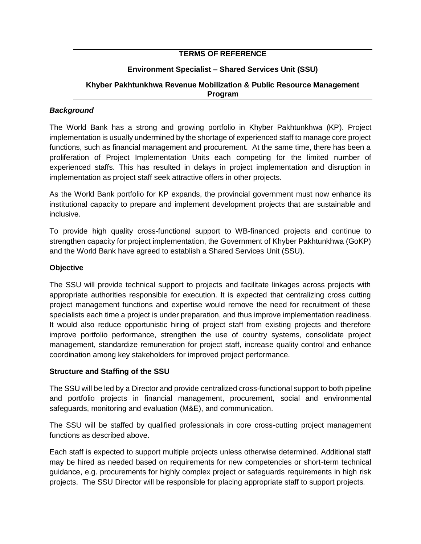## **TERMS OF REFERENCE**

## **Environment Specialist – Shared Services Unit (SSU)**

### **Khyber Pakhtunkhwa Revenue Mobilization & Public Resource Management Program**

### *Background*

The World Bank has a strong and growing portfolio in Khyber Pakhtunkhwa (KP). Project implementation is usually undermined by the shortage of experienced staff to manage core project functions, such as financial management and procurement. At the same time, there has been a proliferation of Project Implementation Units each competing for the limited number of experienced staffs. This has resulted in delays in project implementation and disruption in implementation as project staff seek attractive offers in other projects.

As the World Bank portfolio for KP expands, the provincial government must now enhance its institutional capacity to prepare and implement development projects that are sustainable and inclusive.

To provide high quality cross-functional support to WB-financed projects and continue to strengthen capacity for project implementation, the Government of Khyber Pakhtunkhwa (GoKP) and the World Bank have agreed to establish a Shared Services Unit (SSU).

## **Objective**

The SSU will provide technical support to projects and facilitate linkages across projects with appropriate authorities responsible for execution. It is expected that centralizing cross cutting project management functions and expertise would remove the need for recruitment of these specialists each time a project is under preparation, and thus improve implementation readiness. It would also reduce opportunistic hiring of project staff from existing projects and therefore improve portfolio performance, strengthen the use of country systems, consolidate project management, standardize remuneration for project staff, increase quality control and enhance coordination among key stakeholders for improved project performance.

### **Structure and Staffing of the SSU**

The SSU will be led by a Director and provide centralized cross-functional support to both pipeline and portfolio projects in financial management, procurement, social and environmental safeguards, monitoring and evaluation (M&E), and communication.

The SSU will be staffed by qualified professionals in core cross-cutting project management functions as described above.

Each staff is expected to support multiple projects unless otherwise determined. Additional staff may be hired as needed based on requirements for new competencies or short-term technical guidance, e.g. procurements for highly complex project or safeguards requirements in high risk projects. The SSU Director will be responsible for placing appropriate staff to support projects.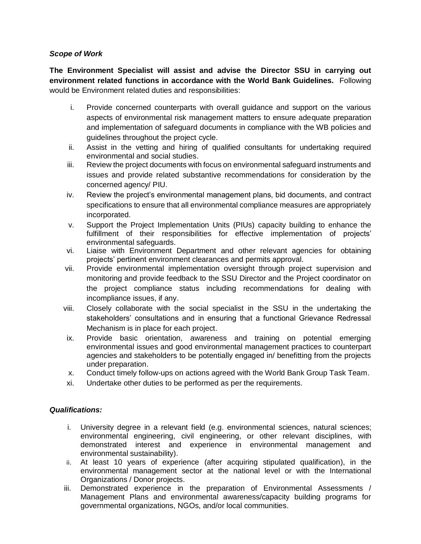## *Scope of Work*

**The Environment Specialist will assist and advise the Director SSU in carrying out environment related functions in accordance with the World Bank Guidelines.** Following would be Environment related duties and responsibilities:

- i. Provide concerned counterparts with overall guidance and support on the various aspects of environmental risk management matters to ensure adequate preparation and implementation of safeguard documents in compliance with the WB policies and guidelines throughout the project cycle.
- ii. Assist in the vetting and hiring of qualified consultants for undertaking required environmental and social studies.
- iii. Review the project documents with focus on environmental safeguard instruments and issues and provide related substantive recommendations for consideration by the concerned agency/ PIU.
- iv. Review the project's environmental management plans, bid documents, and contract specifications to ensure that all environmental compliance measures are appropriately incorporated.
- v. Support the Project Implementation Units (PIUs) capacity building to enhance the fulfillment of their responsibilities for effective implementation of projects' environmental safeguards.
- vi. Liaise with Environment Department and other relevant agencies for obtaining projects' pertinent environment clearances and permits approval.
- vii. Provide environmental implementation oversight through project supervision and monitoring and provide feedback to the SSU Director and the Project coordinator on the project compliance status including recommendations for dealing with incompliance issues, if any.
- viii. Closely collaborate with the social specialist in the SSU in the undertaking the stakeholders' consultations and in ensuring that a functional Grievance Redressal Mechanism is in place for each project.
- ix. Provide basic orientation, awareness and training on potential emerging environmental issues and good environmental management practices to counterpart agencies and stakeholders to be potentially engaged in/ benefitting from the projects under preparation.
- x. Conduct timely follow-ups on actions agreed with the World Bank Group Task Team.
- xi. Undertake other duties to be performed as per the requirements.

# *Qualifications:*

- i. University degree in a relevant field (e.g. environmental sciences, natural sciences; environmental engineering, civil engineering, or other relevant disciplines, with demonstrated interest and experience in environmental management and environmental sustainability).
- ii. At least 10 years of experience (after acquiring stipulated qualification), in the environmental management sector at the national level or with the International Organizations / Donor projects.
- iii. Demonstrated experience in the preparation of Environmental Assessments / Management Plans and environmental awareness/capacity building programs for governmental organizations, NGOs, and/or local communities.